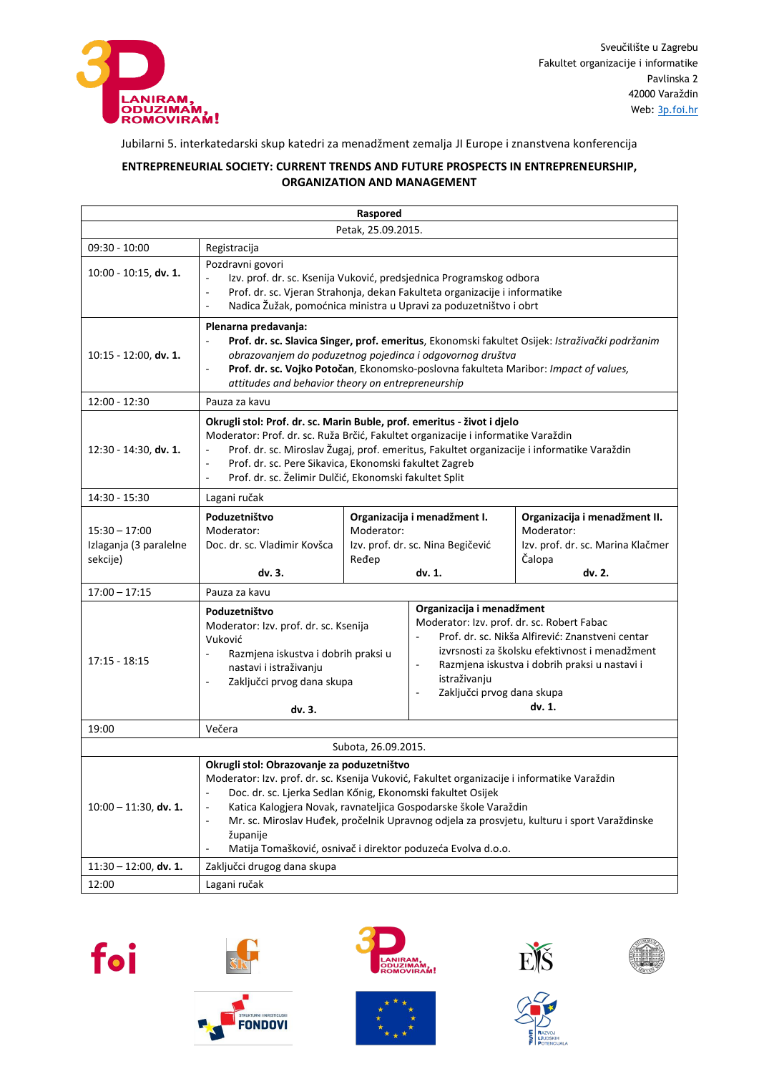

## Jubilarni 5. interkatedarski skup katedri za menadžment zemalja JI Europe i znanstvena konferencija

## **ENTREPRENEURIAL SOCIETY: CURRENT TRENDS AND FUTURE PROSPECTS IN ENTREPRENEURSHIP, ORGANIZATION AND MANAGEMENT**

| Raspored                                              |                                                                                                                                                                                                                                                                                                                                                                                                                                                                                                                                            |                                                                                                    |                                                                                                                                                                                                                                                                                                                          |                                                                                                      |  |  |  |
|-------------------------------------------------------|--------------------------------------------------------------------------------------------------------------------------------------------------------------------------------------------------------------------------------------------------------------------------------------------------------------------------------------------------------------------------------------------------------------------------------------------------------------------------------------------------------------------------------------------|----------------------------------------------------------------------------------------------------|--------------------------------------------------------------------------------------------------------------------------------------------------------------------------------------------------------------------------------------------------------------------------------------------------------------------------|------------------------------------------------------------------------------------------------------|--|--|--|
| Petak, 25.09.2015.                                    |                                                                                                                                                                                                                                                                                                                                                                                                                                                                                                                                            |                                                                                                    |                                                                                                                                                                                                                                                                                                                          |                                                                                                      |  |  |  |
| 09:30 - 10:00                                         | Registracija                                                                                                                                                                                                                                                                                                                                                                                                                                                                                                                               |                                                                                                    |                                                                                                                                                                                                                                                                                                                          |                                                                                                      |  |  |  |
| $10:00 - 10:15$ , dv. 1.                              | Pozdravni govori<br>Izv. prof. dr. sc. Ksenija Vuković, predsjednica Programskog odbora<br>Prof. dr. sc. Vjeran Strahonja, dekan Fakulteta organizacije i informatike<br>$\overline{\phantom{a}}$<br>Nadica Žužak, pomoćnica ministra u Upravi za poduzetništvo i obrt<br>$\overline{\phantom{a}}$                                                                                                                                                                                                                                         |                                                                                                    |                                                                                                                                                                                                                                                                                                                          |                                                                                                      |  |  |  |
| $10:15 - 12:00$ , dv. 1.                              | Plenarna predavanja:<br>Prof. dr. sc. Slavica Singer, prof. emeritus, Ekonomski fakultet Osijek: Istraživački podržanim<br>$\sim$<br>obrazovanjem do poduzetnog pojedinca i odgovornog društva<br>Prof. dr. sc. Vojko Potočan, Ekonomsko-poslovna fakulteta Maribor: Impact of values,<br>$\overline{\phantom{a}}$<br>attitudes and behavior theory on entrepreneurship                                                                                                                                                                    |                                                                                                    |                                                                                                                                                                                                                                                                                                                          |                                                                                                      |  |  |  |
| $12:00 - 12:30$                                       | Pauza za kavu                                                                                                                                                                                                                                                                                                                                                                                                                                                                                                                              |                                                                                                    |                                                                                                                                                                                                                                                                                                                          |                                                                                                      |  |  |  |
| $12:30 - 14:30$ , dv. 1.                              | Okrugli stol: Prof. dr. sc. Marin Buble, prof. emeritus - život i djelo<br>Moderator: Prof. dr. sc. Ruža Brčić, Fakultet organizacije i informatike Varaždin<br>Prof. dr. sc. Miroslav Žugaj, prof. emeritus, Fakultet organizacije i informatike Varaždin<br>$\overline{\phantom{a}}$<br>Prof. dr. sc. Pere Sikavica, Ekonomski fakultet Zagreb<br>$\overline{\phantom{a}}$<br>Prof. dr. sc. Želimir Dulčić, Ekonomski fakultet Split<br>$\overline{\phantom{a}}$                                                                         |                                                                                                    |                                                                                                                                                                                                                                                                                                                          |                                                                                                      |  |  |  |
| 14:30 - 15:30                                         | Lagani ručak                                                                                                                                                                                                                                                                                                                                                                                                                                                                                                                               |                                                                                                    |                                                                                                                                                                                                                                                                                                                          |                                                                                                      |  |  |  |
| $15:30 - 17:00$<br>Izlaganja (3 paralelne<br>sekcije) | Poduzetništvo<br>Moderator:<br>Doc. dr. sc. Vladimir Kovšca<br>dv. 3.                                                                                                                                                                                                                                                                                                                                                                                                                                                                      | Organizacija i menadžment I.<br>Moderator:<br>Izv. prof. dr. sc. Nina Begičević<br>Ređep<br>dv. 1. |                                                                                                                                                                                                                                                                                                                          | Organizacija i menadžment II.<br>Moderator:<br>Izv. prof. dr. sc. Marina Klačmer<br>Čalopa<br>dv. 2. |  |  |  |
| $17:00 - 17:15$                                       | Pauza za kavu                                                                                                                                                                                                                                                                                                                                                                                                                                                                                                                              |                                                                                                    |                                                                                                                                                                                                                                                                                                                          |                                                                                                      |  |  |  |
| $17:15 - 18:15$                                       | Poduzetništvo<br>Moderator: Izv. prof. dr. sc. Ksenija<br>Vuković<br>Razmjena iskustva i dobrih praksi u<br>nastavi i istraživanju<br>Zaključci prvog dana skupa<br>$\overline{\phantom{a}}$<br>dv. 3.                                                                                                                                                                                                                                                                                                                                     |                                                                                                    | Organizacija i menadžment<br>Moderator: Izv. prof. dr. sc. Robert Fabac<br>Prof. dr. sc. Nikša Alfirević: Znanstveni centar<br>izvrsnosti za školsku efektivnost i menadžment<br>Razmjena iskustva i dobrih praksi u nastavi i<br>$\overline{\phantom{a}}$<br>istraživanju<br>Zaključci prvog dana skupa<br>÷,<br>dv. 1. |                                                                                                      |  |  |  |
| 19:00                                                 | Večera                                                                                                                                                                                                                                                                                                                                                                                                                                                                                                                                     |                                                                                                    |                                                                                                                                                                                                                                                                                                                          |                                                                                                      |  |  |  |
|                                                       |                                                                                                                                                                                                                                                                                                                                                                                                                                                                                                                                            | Subota, 26.09.2015.                                                                                |                                                                                                                                                                                                                                                                                                                          |                                                                                                      |  |  |  |
| $10:00 - 11:30$ , dv. 1.                              | Okrugli stol: Obrazovanje za poduzetništvo<br>Moderator: Izv. prof. dr. sc. Ksenija Vuković, Fakultet organizacije i informatike Varaždin<br>Doc. dr. sc. Ljerka Sedlan Kőnig, Ekonomski fakultet Osijek<br>$\overline{\phantom{a}}$<br>Katica Kalogjera Novak, ravnateljica Gospodarske škole Varaždin<br>$\overline{\phantom{a}}$<br>Mr. sc. Miroslav Huđek, pročelnik Upravnog odjela za prosvjetu, kulturu i sport Varaždinske<br>$\overline{\phantom{a}}$<br>županije<br>Matija Tomašković, osnivač i direktor poduzeća Evolva d.o.o. |                                                                                                    |                                                                                                                                                                                                                                                                                                                          |                                                                                                      |  |  |  |
| $11:30 - 12:00$ , dv. 1.                              | Zaključci drugog dana skupa                                                                                                                                                                                                                                                                                                                                                                                                                                                                                                                |                                                                                                    |                                                                                                                                                                                                                                                                                                                          |                                                                                                      |  |  |  |
| 12:00                                                 | Lagani ručak                                                                                                                                                                                                                                                                                                                                                                                                                                                                                                                               |                                                                                                    |                                                                                                                                                                                                                                                                                                                          |                                                                                                      |  |  |  |